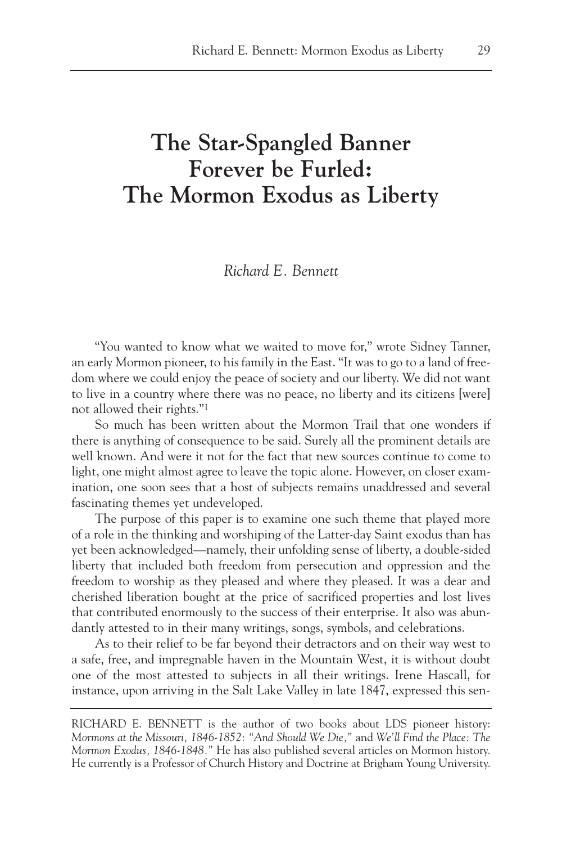## **The Star-Spangled Banner Forever be Furled: The Mormon Exodus as Liberty**

*Richard E. Bennett*

"You wanted to know what we waited to move for," wrote Sidney Tanner, an early Mormon pioneer, to his family in the East. "It was to go to a land of freedom where we could enjoy the peace of society and our liberty. We did not want to live in a country where there was no peace, no liberty and its citizens [were] not allowed their rights."1

So much has been written about the Mormon Trail that one wonders if there is anything of consequence to be said. Surely all the prominent details are well known. And were it not for the fact that new sources continue to come to light, one might almost agree to leave the topic alone. However, on closer examination, one soon sees that a host of subjects remains unaddressed and several fascinating themes yet undeveloped.

The purpose of this paper is to examine one such theme that played more of a role in the thinking and worshiping of the Latter-day Saint exodus than has yet been acknowledged—namely, their unfolding sense of liberty, a double-sided liberty that included both freedom from persecution and oppression and the freedom to worship as they pleased and where they pleased. It was a dear and cherished liberation bought at the price of sacrificed properties and lost lives that contributed enormously to the success of their enterprise. It also was abundantly attested to in their many writings, songs, symbols, and celebrations.

As to their relief to be far beyond their detractors and on their way west to a safe, free, and impregnable haven in the Mountain West, it is without doubt one of the most attested to subjects in all their writings. Irene Hascall, for instance, upon arriving in the Salt Lake Valley in late 1847, expressed this sen-

RICHARD E. BENNETT is the author of two books about LDS pioneer history: *Mormons at the Missouri, 1846-1852: "And Should We Die,"* and *We'll Find the Place: The Mormon Exodus, 1846-1848."* He has also published several articles on Mormon history. He currently is a Professor of Church History and Doctrine at Brigham Young University.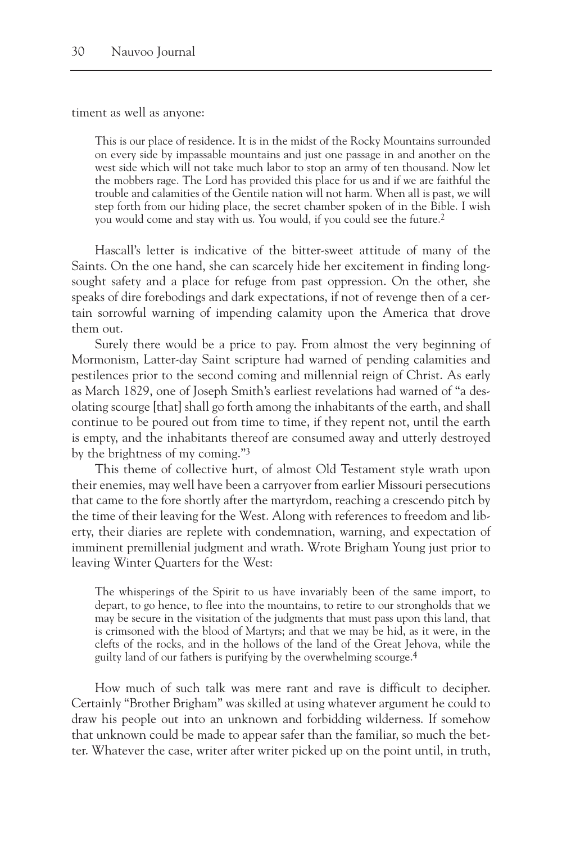timent as well as anyone:

This is our place of residence. It is in the midst of the Rocky Mountains surrounded on every side by impassable mountains and just one passage in and another on the west side which will not take much labor to stop an army of ten thousand. Now let the mobbers rage. The Lord has provided this place for us and if we are faithful the trouble and calamities of the Gentile nation will not harm. When all is past, we will step forth from our hiding place, the secret chamber spoken of in the Bible. I wish you would come and stay with us. You would, if you could see the future.2

Hascall's letter is indicative of the bitter-sweet attitude of many of the Saints. On the one hand, she can scarcely hide her excitement in finding longsought safety and a place for refuge from past oppression. On the other, she speaks of dire forebodings and dark expectations, if not of revenge then of a certain sorrowful warning of impending calamity upon the America that drove them out.

Surely there would be a price to pay. From almost the very beginning of Mormonism, Latter-day Saint scripture had warned of pending calamities and pestilences prior to the second coming and millennial reign of Christ. As early as March 1829, one of Joseph Smith's earliest revelations had warned of "a desolating scourge [that] shall go forth among the inhabitants of the earth, and shall continue to be poured out from time to time, if they repent not, until the earth is empty, and the inhabitants thereof are consumed away and utterly destroyed by the brightness of my coming."3

This theme of collective hurt, of almost Old Testament style wrath upon their enemies, may well have been a carryover from earlier Missouri persecutions that came to the fore shortly after the martyrdom, reaching a crescendo pitch by the time of their leaving for the West. Along with references to freedom and liberty, their diaries are replete with condemnation, warning, and expectation of imminent premillenial judgment and wrath. Wrote Brigham Young just prior to leaving Winter Quarters for the West:

The whisperings of the Spirit to us have invariably been of the same import, to depart, to go hence, to flee into the mountains, to retire to our strongholds that we may be secure in the visitation of the judgments that must pass upon this land, that is crimsoned with the blood of Martyrs; and that we may be hid, as it were, in the clefts of the rocks, and in the hollows of the land of the Great Jehova, while the guilty land of our fathers is purifying by the overwhelming scourge.4

How much of such talk was mere rant and rave is difficult to decipher. Certainly "Brother Brigham" was skilled at using whatever argument he could to draw his people out into an unknown and forbidding wilderness. If somehow that unknown could be made to appear safer than the familiar, so much the better. Whatever the case, writer after writer picked up on the point until, in truth,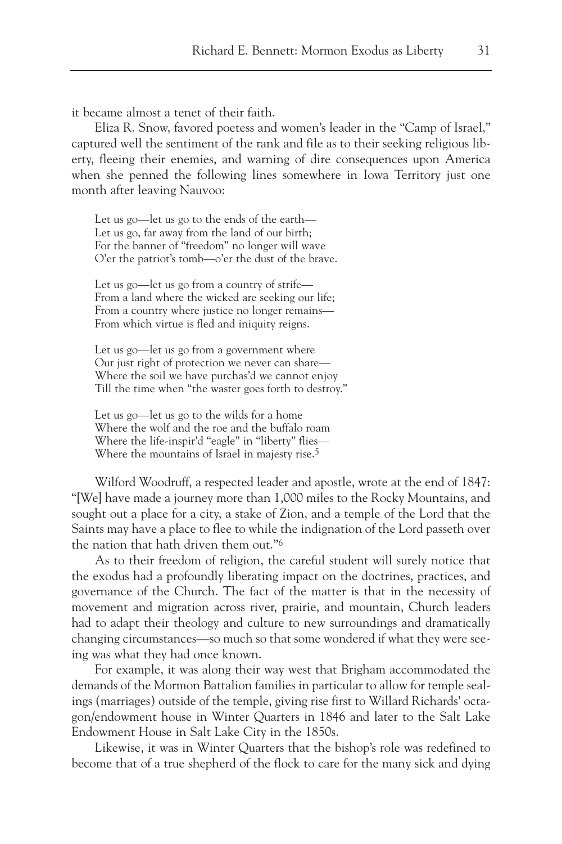it became almost a tenet of their faith.

Eliza R. Snow, favored poetess and women's leader in the "Camp of Israel," captured well the sentiment of the rank and file as to their seeking religious liberty, fleeing their enemies, and warning of dire consequences upon America when she penned the following lines somewhere in Iowa Territory just one month after leaving Nauvoo:

Let us go—let us go to the ends of the earth— Let us go, far away from the land of our birth; For the banner of "freedom" no longer will wave O'er the patriot's tomb—o'er the dust of the brave.

Let us go—let us go from a country of strife— From a land where the wicked are seeking our life; From a country where justice no longer remains— From which virtue is fled and iniquity reigns.

Let us go—let us go from a government where Our just right of protection we never can share— Where the soil we have purchas'd we cannot enjoy Till the time when "the waster goes forth to destroy."

Let us go—let us go to the wilds for a home Where the wolf and the roe and the buffalo roam Where the life-inspir'd "eagle" in "liberty" flies— Where the mountains of Israel in majesty rise.<sup>5</sup>

Wilford Woodruff, a respected leader and apostle, wrote at the end of 1847: "[We] have made a journey more than 1,000 miles to the Rocky Mountains, and sought out a place for a city, a stake of Zion, and a temple of the Lord that the Saints may have a place to flee to while the indignation of the Lord passeth over the nation that hath driven them out."6

As to their freedom of religion, the careful student will surely notice that the exodus had a profoundly liberating impact on the doctrines, practices, and governance of the Church. The fact of the matter is that in the necessity of movement and migration across river, prairie, and mountain, Church leaders had to adapt their theology and culture to new surroundings and dramatically changing circumstances—so much so that some wondered if what they were seeing was what they had once known.

For example, it was along their way west that Brigham accommodated the demands of the Mormon Battalion families in particular to allow for temple sealings (marriages) outside of the temple, giving rise first to Willard Richards' octagon/endowment house in Winter Quarters in 1846 and later to the Salt Lake Endowment House in Salt Lake City in the 1850s.

Likewise, it was in Winter Quarters that the bishop's role was redefined to become that of a true shepherd of the flock to care for the many sick and dying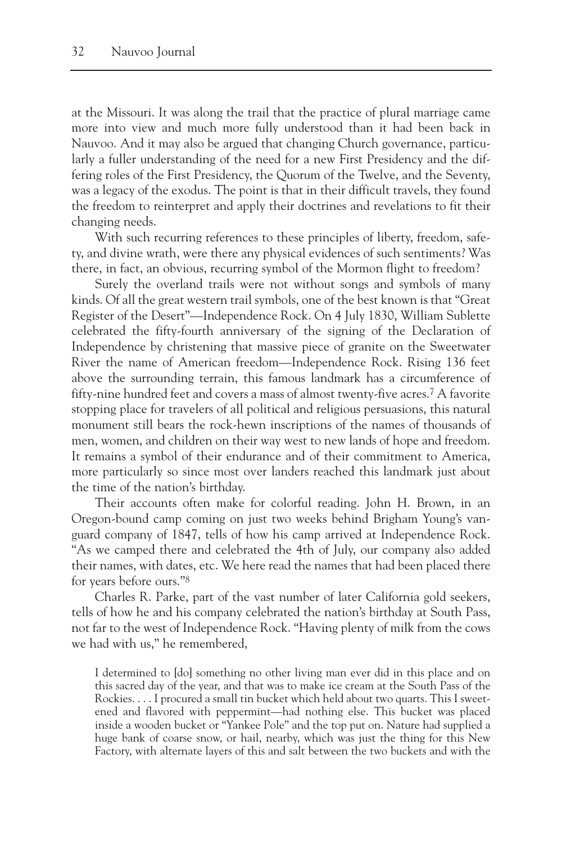at the Missouri. It was along the trail that the practice of plural marriage came more into view and much more fully understood than it had been back in Nauvoo. And it may also be argued that changing Church governance, particularly a fuller understanding of the need for a new First Presidency and the differing roles of the First Presidency, the Quorum of the Twelve, and the Seventy, was a legacy of the exodus. The point is that in their difficult travels, they found the freedom to reinterpret and apply their doctrines and revelations to fit their changing needs.

With such recurring references to these principles of liberty, freedom, safety, and divine wrath, were there any physical evidences of such sentiments? Was there, in fact, an obvious, recurring symbol of the Mormon flight to freedom?

Surely the overland trails were not without songs and symbols of many kinds. Of all the great western trail symbols, one of the best known is that "Great Register of the Desert"—Independence Rock. On 4 July 1830, William Sublette celebrated the fifty-fourth anniversary of the signing of the Declaration of Independence by christening that massive piece of granite on the Sweetwater River the name of American freedom—Independence Rock. Rising 136 feet above the surrounding terrain, this famous landmark has a circumference of fifty-nine hundred feet and covers a mass of almost twenty-five acres.7 A favorite stopping place for travelers of all political and religious persuasions, this natural monument still bears the rock-hewn inscriptions of the names of thousands of men, women, and children on their way west to new lands of hope and freedom. It remains a symbol of their endurance and of their commitment to America, more particularly so since most over landers reached this landmark just about the time of the nation's birthday.

Their accounts often make for colorful reading. John H. Brown, in an Oregon-bound camp coming on just two weeks behind Brigham Young's vanguard company of 1847, tells of how his camp arrived at Independence Rock. "As we camped there and celebrated the 4th of July, our company also added their names, with dates, etc. We here read the names that had been placed there for years before ours."8

Charles R. Parke, part of the vast number of later California gold seekers, tells of how he and his company celebrated the nation's birthday at South Pass, not far to the west of Independence Rock. "Having plenty of milk from the cows we had with us," he remembered,

I determined to [do] something no other living man ever did in this place and on this sacred day of the year, and that was to make ice cream at the South Pass of the Rockies. . . . I procured a small tin bucket which held about two quarts. This I sweetened and flavored with peppermint—had nothing else. This bucket was placed inside a wooden bucket or "Yankee Pole" and the top put on. Nature had supplied a huge bank of coarse snow, or hail, nearby, which was just the thing for this New Factory, with alternate layers of this and salt between the two buckets and with the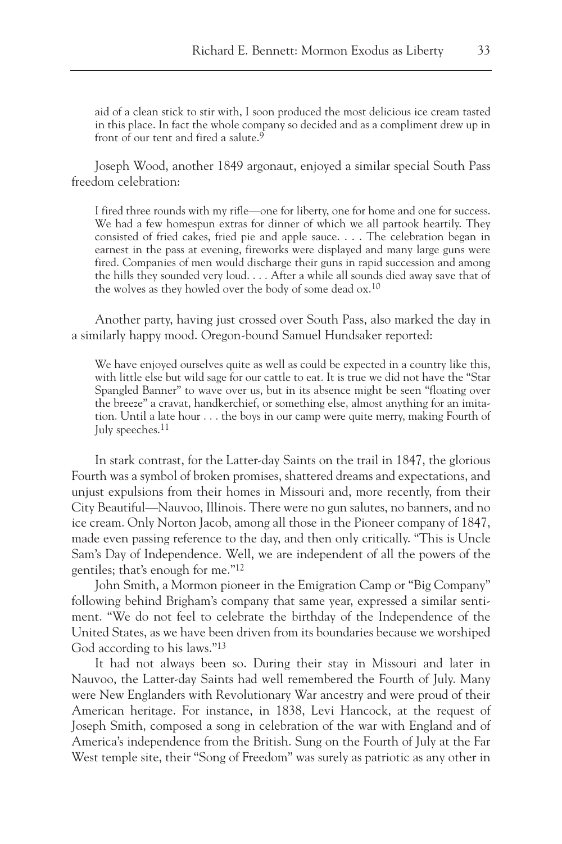aid of a clean stick to stir with, I soon produced the most delicious ice cream tasted in this place. In fact the whole company so decided and as a compliment drew up in front of our tent and fired a salute.<sup>9</sup>

Joseph Wood, another 1849 argonaut, enjoyed a similar special South Pass freedom celebration:

I fired three rounds with my rifle—one for liberty, one for home and one for success. We had a few homespun extras for dinner of which we all partook heartily. They consisted of fried cakes, fried pie and apple sauce. . . . The celebration began in earnest in the pass at evening, fireworks were displayed and many large guns were fired. Companies of men would discharge their guns in rapid succession and among the hills they sounded very loud. . . . After a while all sounds died away save that of the wolves as they howled over the body of some dead ox.10

Another party, having just crossed over South Pass, also marked the day in a similarly happy mood. Oregon-bound Samuel Hundsaker reported:

We have enjoyed ourselves quite as well as could be expected in a country like this, with little else but wild sage for our cattle to eat. It is true we did not have the "Star Spangled Banner" to wave over us, but in its absence might be seen "floating over the breeze" a cravat, handkerchief, or something else, almost anything for an imitation. Until a late hour . . . the boys in our camp were quite merry, making Fourth of July speeches.11

In stark contrast, for the Latter-day Saints on the trail in 1847, the glorious Fourth was a symbol of broken promises, shattered dreams and expectations, and unjust expulsions from their homes in Missouri and, more recently, from their City Beautiful—Nauvoo, Illinois. There were no gun salutes, no banners, and no ice cream. Only Norton Jacob, among all those in the Pioneer company of 1847, made even passing reference to the day, and then only critically. "This is Uncle Sam's Day of Independence. Well, we are independent of all the powers of the gentiles; that's enough for me."12

John Smith, a Mormon pioneer in the Emigration Camp or "Big Company" following behind Brigham's company that same year, expressed a similar sentiment. "We do not feel to celebrate the birthday of the Independence of the United States, as we have been driven from its boundaries because we worshiped God according to his laws."13

It had not always been so. During their stay in Missouri and later in Nauvoo, the Latter-day Saints had well remembered the Fourth of July. Many were New Englanders with Revolutionary War ancestry and were proud of their American heritage. For instance, in 1838, Levi Hancock, at the request of Joseph Smith, composed a song in celebration of the war with England and of America's independence from the British. Sung on the Fourth of July at the Far West temple site, their "Song of Freedom" was surely as patriotic as any other in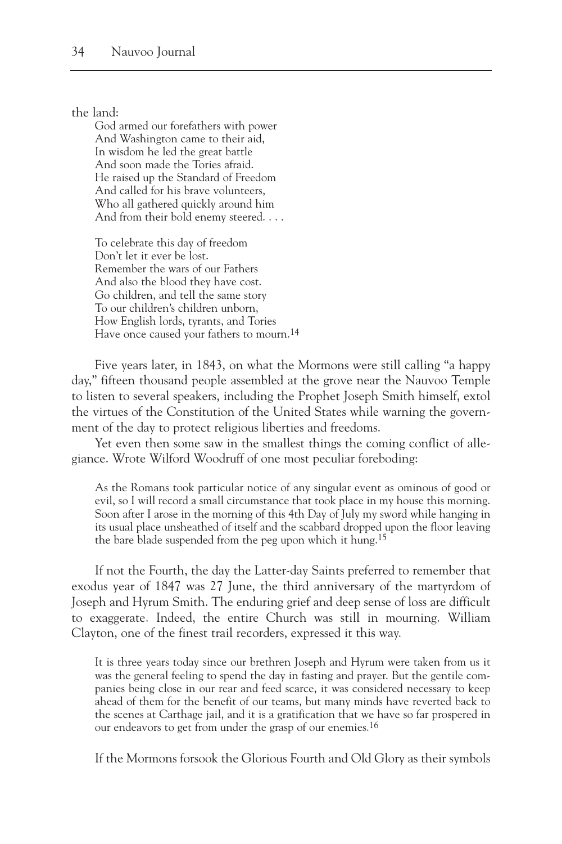the land:

God armed our forefathers with power And Washington came to their aid, In wisdom he led the great battle And soon made the Tories afraid. He raised up the Standard of Freedom And called for his brave volunteers, Who all gathered quickly around him And from their bold enemy steered. . . .

To celebrate this day of freedom Don't let it ever be lost. Remember the wars of our Fathers And also the blood they have cost. Go children, and tell the same story To our children's children unborn, How English lords, tyrants, and Tories Have once caused your fathers to mourn.<sup>14</sup>

Five years later, in 1843, on what the Mormons were still calling "a happy day," fifteen thousand people assembled at the grove near the Nauvoo Temple to listen to several speakers, including the Prophet Joseph Smith himself, extol the virtues of the Constitution of the United States while warning the government of the day to protect religious liberties and freedoms.

Yet even then some saw in the smallest things the coming conflict of allegiance. Wrote Wilford Woodruff of one most peculiar foreboding:

As the Romans took particular notice of any singular event as ominous of good or evil, so I will record a small circumstance that took place in my house this morning. Soon after I arose in the morning of this 4th Day of July my sword while hanging in its usual place unsheathed of itself and the scabbard dropped upon the floor leaving the bare blade suspended from the peg upon which it hung.15

If not the Fourth, the day the Latter-day Saints preferred to remember that exodus year of 1847 was 27 June, the third anniversary of the martyrdom of Joseph and Hyrum Smith. The enduring grief and deep sense of loss are difficult to exaggerate. Indeed, the entire Church was still in mourning. William Clayton, one of the finest trail recorders, expressed it this way.

It is three years today since our brethren Joseph and Hyrum were taken from us it was the general feeling to spend the day in fasting and prayer. But the gentile companies being close in our rear and feed scarce, it was considered necessary to keep ahead of them for the benefit of our teams, but many minds have reverted back to the scenes at Carthage jail, and it is a gratification that we have so far prospered in our endeavors to get from under the grasp of our enemies.<sup>16</sup>

If the Mormons forsook the Glorious Fourth and Old Glory as their symbols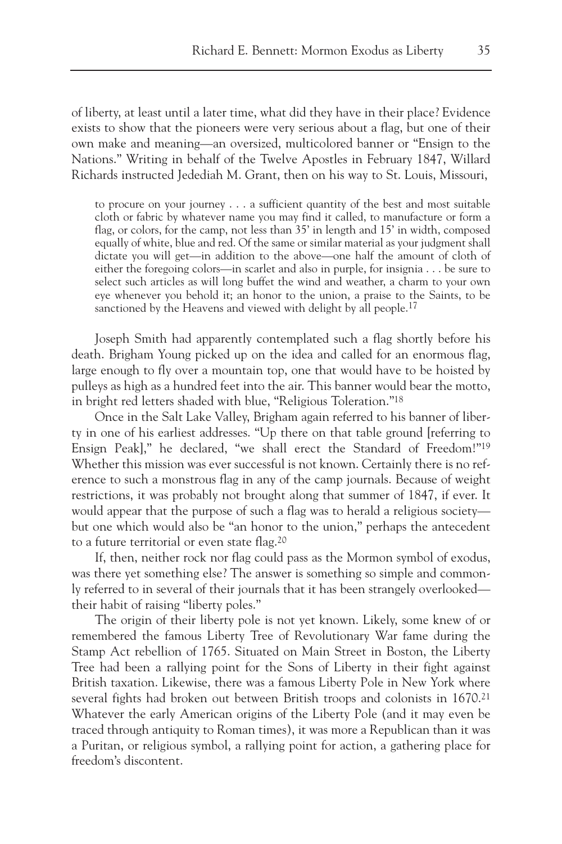of liberty, at least until a later time, what did they have in their place? Evidence exists to show that the pioneers were very serious about a flag, but one of their own make and meaning—an oversized, multicolored banner or "Ensign to the Nations." Writing in behalf of the Twelve Apostles in February 1847, Willard Richards instructed Jedediah M. Grant, then on his way to St. Louis, Missouri,

to procure on your journey . . . a sufficient quantity of the best and most suitable cloth or fabric by whatever name you may find it called, to manufacture or form a flag, or colors, for the camp, not less than 35' in length and 15' in width, composed equally of white, blue and red. Of the same or similar material as your judgment shall dictate you will get—in addition to the above—one half the amount of cloth of either the foregoing colors—in scarlet and also in purple, for insignia . . . be sure to select such articles as will long buffet the wind and weather, a charm to your own eye whenever you behold it; an honor to the union, a praise to the Saints, to be sanctioned by the Heavens and viewed with delight by all people.<sup>17</sup>

Joseph Smith had apparently contemplated such a flag shortly before his death. Brigham Young picked up on the idea and called for an enormous flag, large enough to fly over a mountain top, one that would have to be hoisted by pulleys as high as a hundred feet into the air. This banner would bear the motto, in bright red letters shaded with blue, "Religious Toleration."18

Once in the Salt Lake Valley, Brigham again referred to his banner of liberty in one of his earliest addresses. "Up there on that table ground [referring to Ensign Peak]," he declared, "we shall erect the Standard of Freedom!"19 Whether this mission was ever successful is not known. Certainly there is no reference to such a monstrous flag in any of the camp journals. Because of weight restrictions, it was probably not brought along that summer of 1847, if ever. It would appear that the purpose of such a flag was to herald a religious society but one which would also be "an honor to the union," perhaps the antecedent to a future territorial or even state flag.20

If, then, neither rock nor flag could pass as the Mormon symbol of exodus, was there yet something else? The answer is something so simple and commonly referred to in several of their journals that it has been strangely overlooked their habit of raising "liberty poles."

The origin of their liberty pole is not yet known. Likely, some knew of or remembered the famous Liberty Tree of Revolutionary War fame during the Stamp Act rebellion of 1765. Situated on Main Street in Boston, the Liberty Tree had been a rallying point for the Sons of Liberty in their fight against British taxation. Likewise, there was a famous Liberty Pole in New York where several fights had broken out between British troops and colonists in 1670.21 Whatever the early American origins of the Liberty Pole (and it may even be traced through antiquity to Roman times), it was more a Republican than it was a Puritan, or religious symbol, a rallying point for action, a gathering place for freedom's discontent.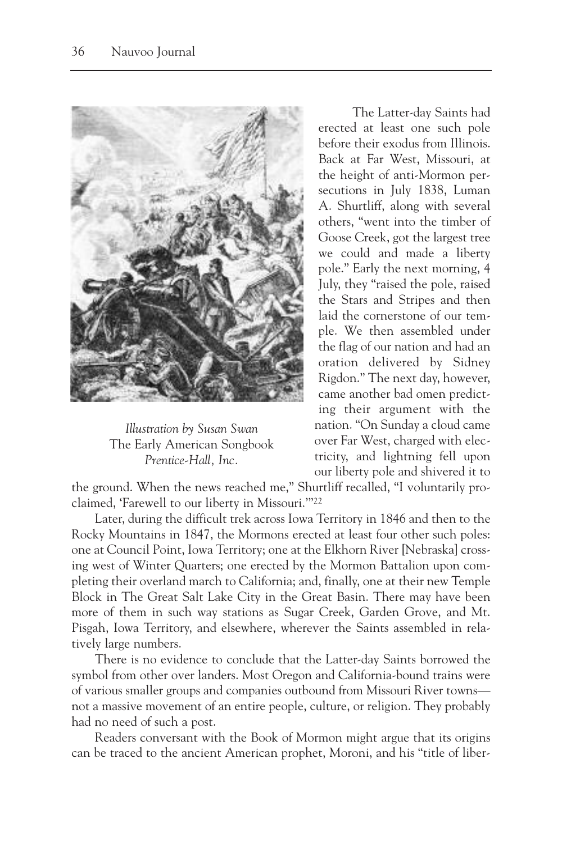

*Illustration by Susan Swan* The Early American Songbook *Prentice-Hall, Inc.*

The Latter-day Saints had erected at least one such pole before their exodus from Illinois. Back at Far West, Missouri, at the height of anti-Mormon persecutions in July 1838, Luman A. Shurtliff, along with several others, "went into the timber of Goose Creek, got the largest tree we could and made a liberty pole." Early the next morning, 4 July, they "raised the pole, raised the Stars and Stripes and then laid the cornerstone of our temple. We then assembled under the flag of our nation and had an oration delivered by Sidney Rigdon." The next day, however, came another bad omen predicting their argument with the nation. "On Sunday a cloud came over Far West, charged with electricity, and lightning fell upon our liberty pole and shivered it to

the ground. When the news reached me," Shurtliff recalled, "I voluntarily proclaimed, 'Farewell to our liberty in Missouri.'"22

Later, during the difficult trek across Iowa Territory in 1846 and then to the Rocky Mountains in 1847, the Mormons erected at least four other such poles: one at Council Point, Iowa Territory; one at the Elkhorn River [Nebraska] crossing west of Winter Quarters; one erected by the Mormon Battalion upon completing their overland march to California; and, finally, one at their new Temple Block in The Great Salt Lake City in the Great Basin. There may have been more of them in such way stations as Sugar Creek, Garden Grove, and Mt. Pisgah, Iowa Territory, and elsewhere, wherever the Saints assembled in relatively large numbers.

There is no evidence to conclude that the Latter-day Saints borrowed the symbol from other over landers. Most Oregon and California-bound trains were of various smaller groups and companies outbound from Missouri River towns not a massive movement of an entire people, culture, or religion. They probably had no need of such a post.

Readers conversant with the Book of Mormon might argue that its origins can be traced to the ancient American prophet, Moroni, and his "title of liber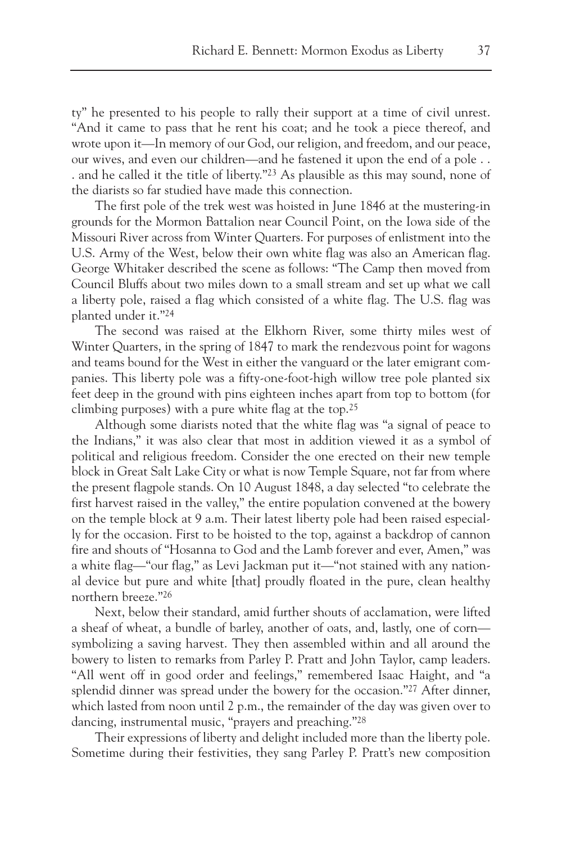ty" he presented to his people to rally their support at a time of civil unrest. "And it came to pass that he rent his coat; and he took a piece thereof, and wrote upon it—In memory of our God, our religion, and freedom, and our peace, our wives, and even our children—and he fastened it upon the end of a pole . . . and he called it the title of liberty."23 As plausible as this may sound, none of the diarists so far studied have made this connection.

The first pole of the trek west was hoisted in June 1846 at the mustering-in grounds for the Mormon Battalion near Council Point, on the Iowa side of the Missouri River across from Winter Quarters. For purposes of enlistment into the U.S. Army of the West, below their own white flag was also an American flag. George Whitaker described the scene as follows: "The Camp then moved from Council Bluffs about two miles down to a small stream and set up what we call a liberty pole, raised a flag which consisted of a white flag. The U.S. flag was planted under it."24

The second was raised at the Elkhorn River, some thirty miles west of Winter Quarters, in the spring of 1847 to mark the rendezvous point for wagons and teams bound for the West in either the vanguard or the later emigrant companies. This liberty pole was a fifty-one-foot-high willow tree pole planted six feet deep in the ground with pins eighteen inches apart from top to bottom (for climbing purposes) with a pure white flag at the top.25

Although some diarists noted that the white flag was "a signal of peace to the Indians," it was also clear that most in addition viewed it as a symbol of political and religious freedom. Consider the one erected on their new temple block in Great Salt Lake City or what is now Temple Square, not far from where the present flagpole stands. On 10 August 1848, a day selected "to celebrate the first harvest raised in the valley," the entire population convened at the bowery on the temple block at 9 a.m. Their latest liberty pole had been raised especially for the occasion. First to be hoisted to the top, against a backdrop of cannon fire and shouts of "Hosanna to God and the Lamb forever and ever, Amen," was a white flag—"our flag," as Levi Jackman put it—"not stained with any national device but pure and white [that] proudly floated in the pure, clean healthy northern breeze."26

Next, below their standard, amid further shouts of acclamation, were lifted a sheaf of wheat, a bundle of barley, another of oats, and, lastly, one of corn symbolizing a saving harvest. They then assembled within and all around the bowery to listen to remarks from Parley P. Pratt and John Taylor, camp leaders. "All went off in good order and feelings," remembered Isaac Haight, and "a splendid dinner was spread under the bowery for the occasion."27 After dinner, which lasted from noon until 2 p.m., the remainder of the day was given over to dancing, instrumental music, "prayers and preaching."28

Their expressions of liberty and delight included more than the liberty pole. Sometime during their festivities, they sang Parley P. Pratt's new composition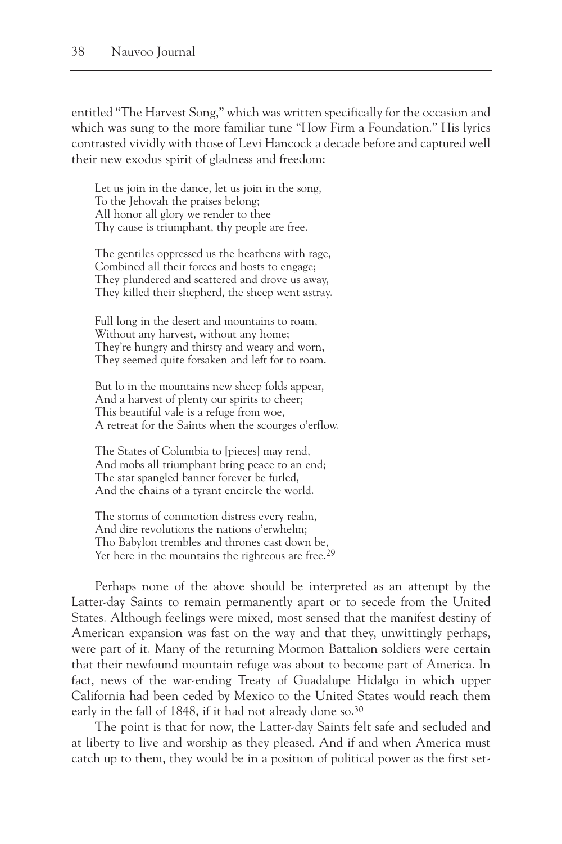entitled "The Harvest Song," which was written specifically for the occasion and which was sung to the more familiar tune "How Firm a Foundation." His lyrics contrasted vividly with those of Levi Hancock a decade before and captured well their new exodus spirit of gladness and freedom:

Let us join in the dance, let us join in the song, To the Jehovah the praises belong; All honor all glory we render to thee Thy cause is triumphant, thy people are free.

The gentiles oppressed us the heathens with rage, Combined all their forces and hosts to engage; They plundered and scattered and drove us away, They killed their shepherd, the sheep went astray.

Full long in the desert and mountains to roam, Without any harvest, without any home; They're hungry and thirsty and weary and worn, They seemed quite forsaken and left for to roam.

But lo in the mountains new sheep folds appear, And a harvest of plenty our spirits to cheer; This beautiful vale is a refuge from woe, A retreat for the Saints when the scourges o'erflow.

The States of Columbia to [pieces] may rend, And mobs all triumphant bring peace to an end; The star spangled banner forever be furled, And the chains of a tyrant encircle the world.

The storms of commotion distress every realm, And dire revolutions the nations o'erwhelm; Tho Babylon trembles and thrones cast down be, Yet here in the mountains the righteous are free.<sup>29</sup>

Perhaps none of the above should be interpreted as an attempt by the Latter-day Saints to remain permanently apart or to secede from the United States. Although feelings were mixed, most sensed that the manifest destiny of American expansion was fast on the way and that they, unwittingly perhaps, were part of it. Many of the returning Mormon Battalion soldiers were certain that their newfound mountain refuge was about to become part of America. In fact, news of the war-ending Treaty of Guadalupe Hidalgo in which upper California had been ceded by Mexico to the United States would reach them early in the fall of 1848, if it had not already done so.<sup>30</sup>

The point is that for now, the Latter-day Saints felt safe and secluded and at liberty to live and worship as they pleased. And if and when America must catch up to them, they would be in a position of political power as the first set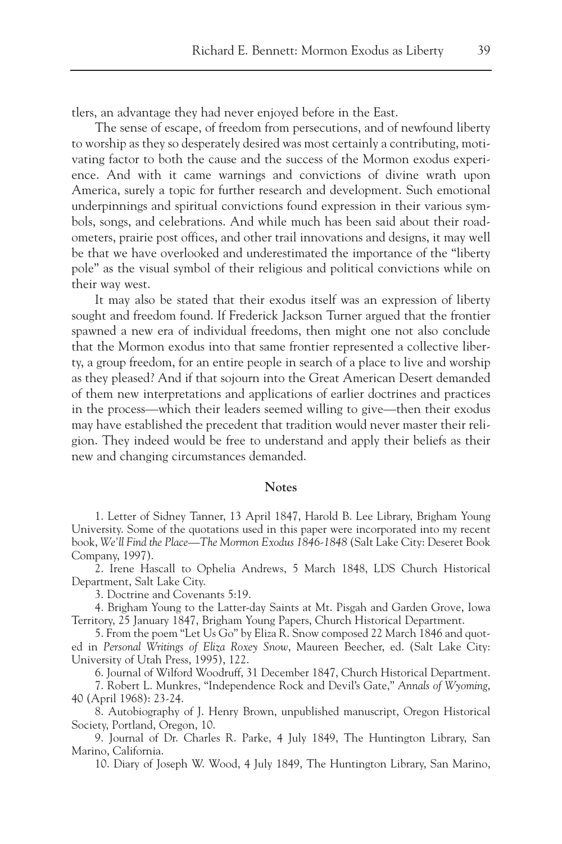tlers, an advantage they had never enjoyed before in the East.

The sense of escape, of freedom from persecutions, and of newfound liberty to worship as they so desperately desired was most certainly a contributing, motivating factor to both the cause and the success of the Mormon exodus experience. And with it came warnings and convictions of divine wrath upon America, surely a topic for further research and development. Such emotional underpinnings and spiritual convictions found expression in their various symbols, songs, and celebrations. And while much has been said about their roadometers, prairie post offices, and other trail innovations and designs, it may well be that we have overlooked and underestimated the importance of the "liberty pole" as the visual symbol of their religious and political convictions while on their way west.

It may also be stated that their exodus itself was an expression of liberty sought and freedom found. If Frederick Jackson Turner argued that the frontier spawned a new era of individual freedoms, then might one not also conclude that the Mormon exodus into that same frontier represented a collective liberty, a group freedom, for an entire people in search of a place to live and worship as they pleased? And if that sojourn into the Great American Desert demanded of them new interpretations and applications of earlier doctrines and practices in the process—which their leaders seemed willing to give—then their exodus may have established the precedent that tradition would never master their religion. They indeed would be free to understand and apply their beliefs as their new and changing circumstances demanded.

## **Notes**

1. Letter of Sidney Tanner, 13 April 1847, Harold B. Lee Library, Brigham Young University. Some of the quotations used in this paper were incorporated into my recent book, *We'll Find the Place—The Mormon Exodus 1846-1848* (Salt Lake City: Deseret Book Company, 1997).

2. Irene Hascall to Ophelia Andrews, 5 March 1848, LDS Church Historical Department, Salt Lake City.

3. Doctrine and Covenants 5:19.

4. Brigham Young to the Latter-day Saints at Mt. Pisgah and Garden Grove, Iowa Territory, 25 January 1847, Brigham Young Papers, Church Historical Department.

5. From the poem "Let Us Go" by Eliza R. Snow composed 22 March 1846 and quoted in *Personal Writings of Eliza Roxey Snow*, Maureen Beecher, ed. (Salt Lake City: University of Utah Press, 1995), 122.

6. Journal of Wilford Woodruff, 31 December 1847, Church Historical Department. 7. Robert L. Munkres, "Independence Rock and Devil's Gate," *Annals of Wyoming*,

40 (April 1968): 23-24.

8. Autobiography of J. Henry Brown, unpublished manuscript, Oregon Historical Society, Portland, Oregon, 10.

9. Journal of Dr. Charles R. Parke, 4 July 1849, The Huntington Library, San Marino, California.

10. Diary of Joseph W. Wood, 4 July 1849, The Huntington Library, San Marino,